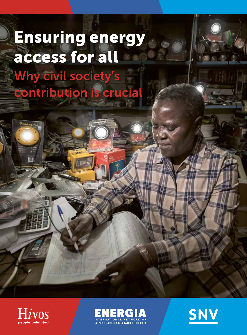# Why civil society's contribution is crucial Ensuring energy access for all





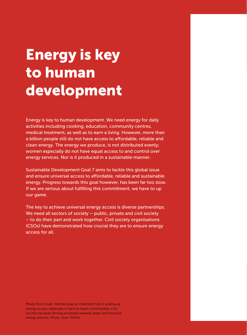# Energy is key to human development

Energy is key to human development. We need energy for daily activities including cooking, education, community centres, medical treatment, as well as to earn a living. However, more than a billion people still do not have access to affordable, reliable and clean energy. The energy we produce, is not distributed evenly; women especially do not have equal access to and control over energy services. Nor is it produced in a sustainable manner.

Sustainable Development Goal 7 aims to tackle this global issue and ensure universal access to affordable, reliable and sustainable energy. Progress towards this goal however, has been far too slow. If we are serious about fulfilling this commitment, we have to up our game.

The key to achieve universal energy access is diverse partnerships. We need all sectors of society – public, private and civil society – to do their part and work together. Civil society organisations (CSOs) have demonstrated how crucial they are to ensure energy access for all.

Photo front cover: Women play an important role in scaling up energy access, especially in hard to reach communities. Civil Society has been driving processes towards green and inclusive energy policies. Photo: Sven Torfinn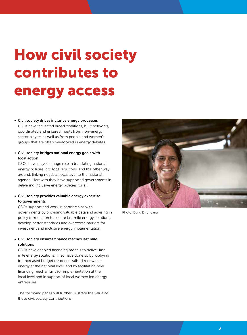# How civil society contributes to energy access

## • Civil society drives inclusive energy processes

CSOs have facilitated broad coalitions, built networks, coordinated and ensured inputs from non-energy sector players as well as from people and women's groups that are often overlooked in energy debates.

• Civil society bridges national energy goals with local action

CSOs have played a huge role in translating national energy policies into local solutions, and the other way around, linking needs at local level to the national agenda. Herewith they have supported governments in delivering inclusive energy policies for all.

## • Civil society provides valuable energy expertise to governments

CSOs support and work in partnerships with governments by providing valuable data and advising in policy formulation to secure last mile energy solutions, develop better standards and overcome barriers for investment and inclusive energy implementation.

## • Civil society ensures finance reaches last mile solutions

CSOs have enabled financing models to deliver last mile energy solutions. They have done so by lobbying for increased budget for decentralised renewable energy at the national level, and by facilitating new financing mechanisms for implementation at the local level and in support of local women led energy entreprises.

The following pages will further illustrate the value of these civil society contributions.



Photo: Bunu Dhungana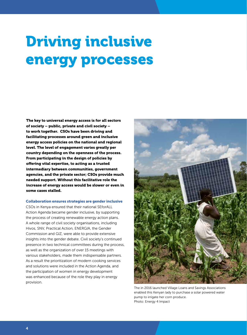# Driving inclusive energy processes

The key to universal energy access is for all sectors of society – public, private and civil society – to work together. CSOs have been driving and facilitating processes around green and inclusive energy access policies on the national and regional level. The level of engagement varies greatly per country depending on the openness of the process. From participating in the design of policies by offering vital expertise, to acting as a trusted intermediary between communities, government agencies, and the private sector; CSOs provide much needed support. Without this facilitative role the increase of energy access would be slower or even in some cases stalled.

### Collaboration ensures strategies are gender inclusive

CSOs in Kenya ensured that their national SEforALL Action Agenda became gender inclusive, by supporting the process of creating renewable energy action plans. A whole range of civil society organisations, including Hivos, SNV, Practical Action, ENERGIA, the Gender Commission and GIZ, were able to provide extensive insights into the gender debate. Civil society's continued presence in two technical committees during the process, as well as the organization of over 15 meetings with various stakeholders, made them indispensable partners. As a result the prioritization of modern cooking services and solutions were included in the Action Agenda, and the participation of women in energy development was enhanced because of the role they play in energy provision.



The in 2016 launched Village Loans and Savings Associations enabled this Kenyan lady to purchase a solar powered water pump to irrigate her corn produce. Photo: Energy 4 Impact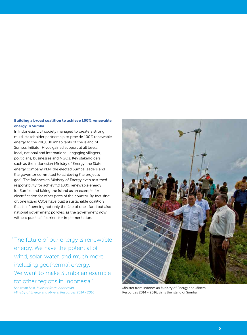# Building a broad coalition to achieve 100% renewable energy in Sumba

In Indonesia, civil society managed to create a strong multi-stakeholder partnership to provide 100% renewable energy to the 700,000 inhabitants of the island of Sumba. Initiator Hivos gained support at all levels: local, national and international, engaging villagers, politicians, businesses and NGOs. Key stakeholders such as the Indonesian Ministry of Energy, the State energy company PLN, the elected Sumba leaders and the governor committed to achieving the project's goal. The Indonesian Ministry of Energy even assumed responsibility for achieving 100% renewable energy for Sumba and taking the Island as an example for electrification for other parts of the country. By focusing on one island CSOs have built a sustainable coalition that is influencing not only the fate of one island but also national government policies, as the government now witness practical barriers for implementation.

"The future of our energy is renewable energy. We have the potential of wind, solar, water, and much more, including geothermal energy. We want to make Sumba an example for other regions in Indonesia."

Sadirman Said, *Minister from Indonesian Ministry of Energy and Mineral Resources 2014 - 2016*



Minister from Indonesian Ministry of Energy and Mineral Resources 2014 - 2016, visits the island of Sumba.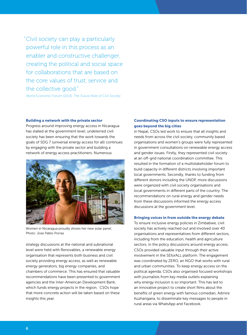"Civil society can play a particularly powerful role in this process as an enabler and constructive challenger, creating the political and social space for collaborations that are based on the core values of trust, service and the collective good."

World Economic Forum (2013), *The Future Role of Civil Society.*

#### Building a network with the private sector

Progress around improving energy access in Nicaragua has stalled at the government level; undeterred civil society has been ensuring that the work towards the goals of SDG 7 (universal energy access for all) continues by engaging with the private sector and building a network of energy access practitioners. Numerous



Women in Nicaragua proudly shows her new solar panel. Photo: Jose Pablo Porras

strategy discussions at the national and subnational level were held with Renovables, a renewable energy organisation that represents both business and civil society providing energy access, as well as renewable energy generators, big energy companies, and chambers of commerce. This has ensured that valuable recommendations have been presented to government agencies and the Inter-American Development Bank, which funds energy projects in the region. CSOs hope that more concrete action will be taken based on these insights this year.

## Coordinating CSO inputs to ensure representation goes beyond the big cities

In Nepal, CSOs led work to ensure that all insights and needs from across the civil society, community based organisations and women's groups were fully represented in government consultations on renewable energy access and gender issues. Firstly, they represented civil society at an off-grid national coordination committee. This resulted in the formation of a multistakeholder forum to build capacity in different districts involving important local governments. Secondly, thanks to funding from different donors including the UNDP, more discussions were organized with civil society organisations and local governments in different parts of the country. The recommendations on rural energy and gender needs from these discussions informed the energy access discussions at the government level.

### Bringing voices in from outside the energy debate

To ensure inclusive energy policies in Zimbabwe, civil society has actively reached out and involved over 40 organisations and representatives from different sectors, including from the education, health and agriculture sectors, in the policy discussions around energy access. CSOs provided valuable input through their active involvement in the SEforALL platform. The engagement was coordinated by ZERO, an NGO that works with rural and urban communities. To keep energy access on the political agenda, CSOs also organised focused workshops with journalists from key media outlets explaining why energy inclusion is so important. This has led to an innovative project to create short films about the benefits of green energy with famous comedian, Admire Kuzhangaira, to disseminate key messages to people in rural areas via WhatsApp and Facebook.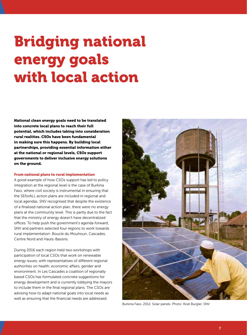# Bridging national energy goals with local action

National clean energy goals need to be translated into concrete local plans to reach their full potential, which includes taking into consideration rural realities. CSOs have been fundamental in making sure this happens. By building local partnerships, providing essential information either at the national or regional levels, CSOs support governments to deliver inclusive energy solutions on the ground.

### From national plans to rural implementation

A good example of how CSOs support has led to policy integration at the regional level is the case of Burkina Faso, where civil society is instrumental in ensuring that the SEforALL action plans are included in regional and local agendas. SNV recognised that despite the existence of a finalised national action plan, there were no energy plans at the community level. This is partly due to the fact that the ministry of energy doesn't have decentralized offices. To help push the government's agenda forward, SNV and partners selected four regions to work towards rural implementation: Boucle du Mouhoun, Cascades, Centre Nord and Hauts-Bassins.

During 2016 each region held two workshops with participation of local CSOs that work on renewable energy issues, with representatives of different regional authorities on health, economic affairs, gender and environment. In Les Cascades a coalition of regionally based CSOs has formulated concrete suggestions for energy development and is currently lobbying the mayors to include them in the final regional plans. The CSOs are advising how to adapt national goals into local needs as well as ensuring that the financial needs are addressed.



Burkina Faso, 2012. Solar panels. Photo: Roel Burgler, SNV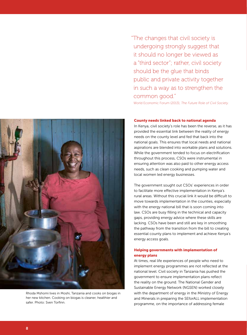"The changes that civil society is undergoing strongly suggest that it should no longer be viewed as a "third sector"; rather, civil society should be the glue that binds public and private activity together in such a way as to strengthen the common good."

World Economic Forum (2013), *The Future Role of Civil Society.*

### County needs linked back to national agenda

In Kenya, civil society's role has been the reverse, as it has provided the essential link between the reality of energy needs on the county level and fed that back into the national goals. This ensures that local needs and national aspirations are blended into workable plans and solutions. While the government tended to focus on electrification throughout this process, CSOs were instrumental in ensuring attention was also paid to other energy access needs, such as clean cooking and pumping water and local women led energy businesses.

The government sought out CSOs' experiences in order to facilitate more effective implementation in Kenya's rural areas. Without this crucial link it would be difficult to move towards implementation in the counties, especially with the energy national bill that is soon coming into law. CSOs are busy filling in the technical and capacity gaps, providing energy advice where these skills are lacking. CSOs have been and still are key in smoothing the pathway from the transition from the bill to creating essential county plans to implement and achieve Kenya's energy access goals.

## Helping governments with implementation of energy plans

At times, real life experiences of people who need to implement energy programmes are not reflected at the national level. Civil society in Tanzania has pushed the government to ensure implementation plans reflect the reality on the ground. The National Gender and Sustainable Energy Network (NGSEN) worked closely with the department of energy in the Ministry of Energy and Minerals in preparing the SEforALL implementation programme, on the importance of addressing female



Rhoda Mshomi lives in Moshi, Tanzania and cooks on biogas in her new kitchen. Cooking on biogas is cleaner, healthier and safer. Photo: Sven Torfinn.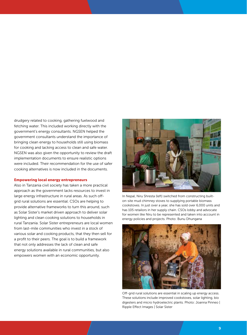drudgery related to cooking, gathering fuelwood and fetching water. This included working directly with the government's energy consultants. NGSEN helped the government consultants understand the importance of bringing clean energy to households still using biomass for cooking and lacking access to clean and safe water. NGSEN was also given the opportunity to review the draft implementation documents to ensure realistic options were included. Their recommendation for the use of safer cooking alternatives is now included in the documents.

#### Empowering local energy entrepreneurs

Also in Tanzania civil society has taken a more practical approach as the government lacks resources to invest in large energy infrastructure in rural areas. As such offgrid rural solutions are essential. CSOs are helping to provide alternative frameworks to turn this around, such as Solar Sister's market driven approach to deliver solar lighting and clean cooking solutions to households in rural Tanzania. Solar Sister entrepreneurs are local women from last-mile communities who invest in a stock of various solar and cooking products, that they then sell for a profit to their peers. The goal is to build a framework that not only addresses the lack of clean and safe energy solutions available in rural communities, but also empowers women with an economic opportunity.



In Nepal, Niru Shresta (left) switched from constructing builton-site mud chimney stoves to supplying portable biomass cookstoves. In just over a year, she has sold over 6,000 units and has 105 retailors in her supply chain. CSOs lobby and advocate for women like Niru to be represented and taken into account in energy policies and projects. Photo: Bunu Dhungana



Off-grid rural solutions are essential in scaling up energy access. These solutions include improved cookstoves, solar lighting, bio digesters and micro hydroelectric plants. Photo: Joanna Pinneo | Ripple Effect Images | Solar Sister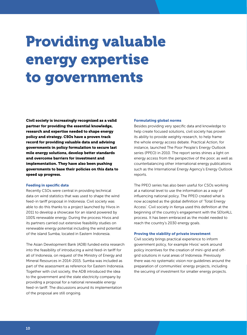# Providing valuable energy expertise to governments

Civil society is increasingly recognized as a valid partner for providing the essential knowledge, research and expertise needed to shape energy policy and strategy. CSOs have a proven track record for providing valuable data and advising governments in policy formulation to secure last mile energy solutions, develop better standards and overcome barriers for investment and implementation. They have also been pushing governments to base their policies on this data to speed up progress.

## Feeding in specific data

Recently CSOs were central in providing technical data on wind statistics that was used to shape the wind feed-in tariff proposal in Indonesia. Civil society was able to do this thanks to a project launched by Hivos in 2011 to develop a showcase for an island powered by 100% renewable energy. During the process Hivos and its partners carried out extensive feasibility studies on renewable energy potential including the wind potential of the island Sumba, located in Eastern Indonesia.

The Asian Development Bank (ADB) funded extra research into the feasibility of introducing a wind feed-in tariff for all of Indonesia, on request of the Ministry of Energy and Mineral Resources in 2014-2015. Sumba was included as part of the assessment as reference for Eastern Indonesia. Together with civil society, the ADB introduced the idea to the government and the state electricity company by providing a proposal for a national renewable energy feed-in tariff. The discussions around its implementation of the proposal are still ongoing.

#### Formulating global norms

Besides providing very specific data and knowledge to help create focused solutions, civil society has proven its ability to provide weighty research, to help frame the whole energy access debate. Practical Action, for instance, launched The Poor People's Energy Outlook series (PPEO) in 2010. The report series shines a light on energy access from the perspective of the poor, as well as counterbalancing other international energy publications such as the International Energy Agency's Energy Outlook reports.

The PPEO series has also been useful for CSOs working at a national level to use the information as a way of influencing national policy. The PPEO created what is now accepted as the global definition of 'Total Energy Access'. Civil society in Kenya used this definition at the beginning of the country's engagement with the SEforALL process. It has been embraced as the model needed to reach the country's 2030 energy goals.

#### Proving the viability of private investment

Civil society brings practical experience to inform government policy, for example Hivos' work around policy incentives for the creation of mini-grid and offgrid solutions in rural areas of Indonesia. Previously there was no systematic vision nor guidelines around the preparation of communities' energy projects, including the securing of investment for smaller energy projects.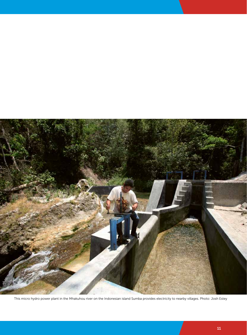

This micro hydro power plant in the Mhakuhou river on the Indonesian island Sumba provides electricity to nearby villages. Photo: Josh Estey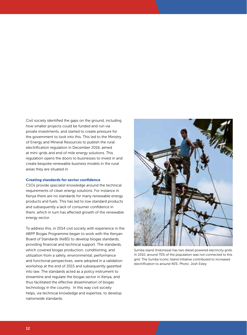Civil society identified the gaps on the ground, including how smaller projects could be funded and run via private investments, and started to create pressure for the government to look into this. This led to the Ministry of Energy and Mineral Resources to publish the rural electrification regulation in December 2016, aimed at mini-grids and end of mile energy solutions. This regulation opens the doors to businesses to invest in and create bespoke renewable business models in the rural areas they are situated in.

### Creating standards for sector confidence

CSOs provide specialist knowledge around the technical requirements of clean energy solutions. For instance in Kenya there are no standards for many renewable energy products and fuels. This has led to low standard products and subsequently a lack of consumer confidence in them, which in turn has affected growth of the renewable energy sector.

To address this, in 2014 civil society with experience in the ABPP Biogas Programme began to work with the Kenyan Board of Standards (KeBS) to develop biogas standards, providing financial and technical support. The standards, which covered biogas production, conditioning, and utilization from a safety, environmental, performance and functional perspectives, were adopted in a validation workshop at the end of 2015 and subsequently gazetted into law. The standards acted as a policy instrument to streamline and regulate the biogas sector in Kenya, and thus facilitated the effective dissemination of biogas technology in the country. In this way civil society helps, via technical knowledge and expertise, to develop nationwide standards.



Sumba island (Indonesia) has two diesel powered electricity grids. In 2010, around 70% of the population was not connected to this grid. The Sumba Iconic Island initiative contributed to increased electrification to around 40%. Photo: Josh Estey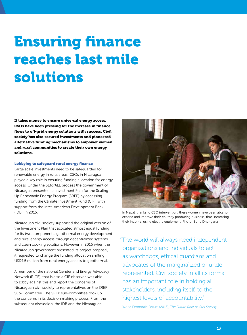# Ensuring finance reaches last mile solutions

It takes money to ensure universal energy access. CSOs have been pressing for the increase in finance flows to off-grid energy solutions with success. Civil society has also secured investments and pioneered alternative funding mechanisms to empower women and rural communities to create their own energy solutions.

### Lobbying to safeguard rural energy finance

Large scale investments need to be safeguarded for renewable energy in rural areas. CSOs in Nicaragua played a key role in ensuring funding allocation for energy access. Under the SEforALL process the government of Nicaragua presented its Investment Plan for the Scaling Up Renewable Energy Program (SREP) by accessing funding from the Climate Investment Fund (CIF), with support from the Inter-American Development Bank (IDB), in 2015.

Nicaraguan civil society supported the original version of the Investment Plan that allocated almost equal funding for its two components: geothermal energy development and rural energy access through decentralized systems and clean cooking solutions. However in 2016 when the Nicaraguan government presented its project proposal, it requested to change the funding allocation shifting US\$4.5 million from rural energy access to geothermal.

A member of the national Gender and Energy Advocacy Network (RIGE), that is also a CIF observer, was able to lobby against this and report the concerns of Nicaraguan civil society to representatives on the SREP Sub-Committee. The SREP sub-committee took up the concerns in its decision making process. From the subsequent discussion, the IDB and the Nicaraguan



In Nepal, thanks to CSO intervention, these women have been able to expand and improve their chutney producing business, thus increasing their income, using electric equipment. Photo: Bunu Dhungana

"The world will always need independent organizations and individuals to act as watchdogs, ethical guardians and advocates of the marginalized or underrepresented. Civil society in all its forms has an important role in holding all stakeholders, including itself, to the highest levels of accountability."

World Economic Forum (2013), *The Future Role of Civil Society.*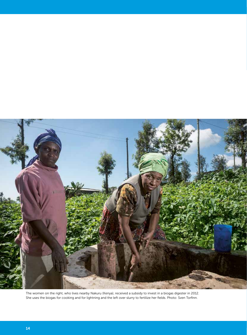

The women on the right, who lives nearby Nakuru (Kenya), received a subsidy to invest in a biogas digester in 2012. She uses the biogas for cooking and for lightning and the left over slurry to fertilize her fields. Photo: Sven Torfinn.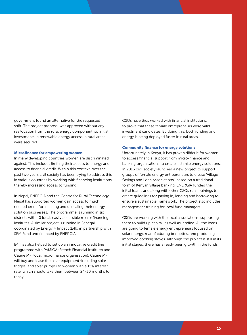government found an alternative for the requested shift. The project proposal was approved without any reallocation from the rural energy component, so initial investments in renewable energy access in rural areas were secured.

#### Microfinance for empowering women

In many developing countries women are discriminated against. This includes limiting their access to energy and access to financial credit. Within this context, over the past two years civil society has been trying to address this in various countries by working with financing institutions thereby increasing access to funding.

In Nepal, ENERGIA and the Centre for Rural Technology Nepal has supported women gain access to much needed credit for initiating and upscaling their energy solution businesses. The programme is running in six districts with 40 local, easily accessible micro-financing institutes. A similar project is running in Senegal, coordinated by Energy 4 Impact (E4I), in partnership with SEM Fund and financed by ENERGIA.

E4I has also helped to set up an innovative credit line programme with PAMIGA (French Financial Institute) and Caurie MF (local microfinance organisation). Caurie MF will buy and lease the solar equipment (including solar fridges, and solar pumps) to women with a 15% interest rate, which should take them between 24-30 months to repay.

CSOs have thus worked with financial institutions, to prove that these female entrepreneurs were valid investment candidates. By doing this, both funding and energy is being deployed faster in rural areas.

## Community finance for energy solutions

Unfortunately in Kenya, it has proven difficult for women to access financial support from micro-finance and banking organisations to create last mile energy solutions. In 2016 civil society launched a new project to support groups of female energy entrepreneurs to create 'Village Savings and Loan Associations', based on a traditional form of Kenyan village banking. ENERGIA funded the initial loans, and along with other CSOs runs trainings to create guidelines for paying in, lending and borrowing to ensure a sustainable framework. The project also includes management training for local fund managers.

CSOs are working with the local associations, supporting them to build up capital, as well as lending. All the loans are going to female energy entrepreneurs focused on solar energy, manufacturing briquettes, and producing improved cooking stoves. Although the project is still in its initial stages, there has already been growth in the funds.